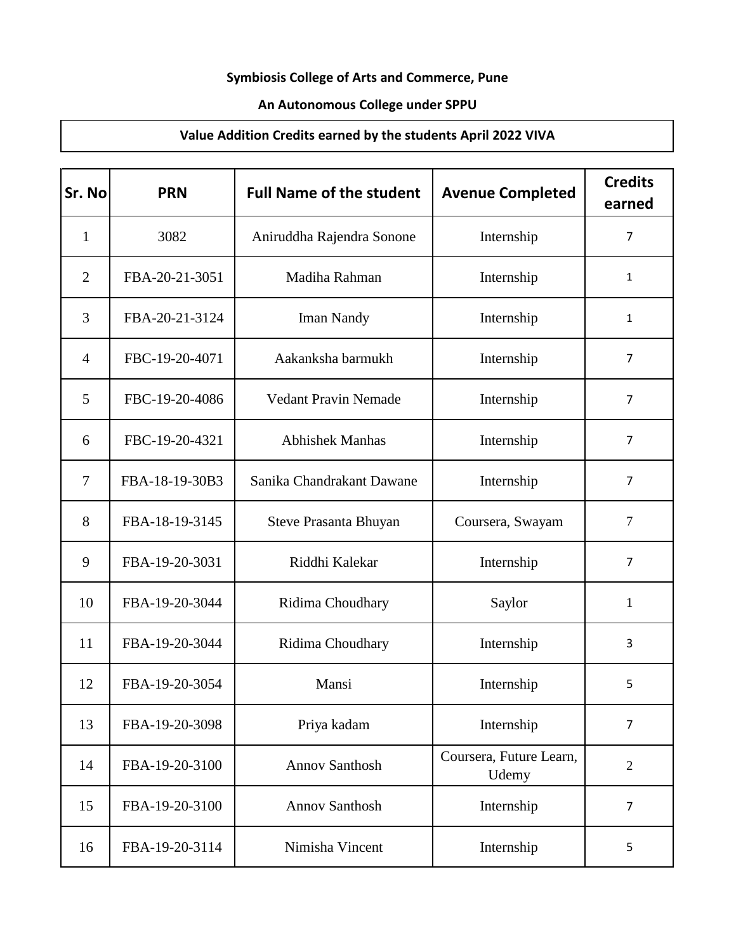## **Symbiosis College of Arts and Commerce, Pune**

## **An Autonomous College under SPPU**

## **Value Addition Credits earned by the students April 2022 VIVA**

| Sr. No         | <b>PRN</b>     | <b>Full Name of the student</b> | <b>Avenue Completed</b>          | <b>Credits</b><br>earned |
|----------------|----------------|---------------------------------|----------------------------------|--------------------------|
| $\mathbf{1}$   | 3082           | Aniruddha Rajendra Sonone       | Internship                       | $\overline{7}$           |
| $\overline{2}$ | FBA-20-21-3051 | Madiha Rahman                   | Internship                       | 1                        |
| 3              | FBA-20-21-3124 | Iman Nandy                      | Internship                       | 1                        |
| $\overline{4}$ | FBC-19-20-4071 | Aakanksha barmukh               | Internship                       | $\overline{7}$           |
| 5              | FBC-19-20-4086 | <b>Vedant Pravin Nemade</b>     | Internship                       | $\overline{7}$           |
| 6              | FBC-19-20-4321 | <b>Abhishek Manhas</b>          | Internship                       | $\overline{7}$           |
| $\overline{7}$ | FBA-18-19-30B3 | Sanika Chandrakant Dawane       | Internship                       | $\overline{7}$           |
| 8              | FBA-18-19-3145 | Steve Prasanta Bhuyan           | Coursera, Swayam                 | $\overline{7}$           |
| 9              | FBA-19-20-3031 | Riddhi Kalekar                  | Internship                       | $\overline{7}$           |
| 10             | FBA-19-20-3044 | Ridima Choudhary                | Saylor                           | 1                        |
| 11             | FBA-19-20-3044 | Ridima Choudhary                | Internship                       | 3                        |
| 12             | FBA-19-20-3054 | Mansi                           | Internship                       | 5                        |
| 13             | FBA-19-20-3098 | Priya kadam                     | Internship                       | $\overline{7}$           |
| 14             | FBA-19-20-3100 | <b>Annov Santhosh</b>           | Coursera, Future Learn,<br>Udemy | $\overline{2}$           |
| 15             | FBA-19-20-3100 | <b>Annov Santhosh</b>           | Internship                       | $\overline{7}$           |
| 16             | FBA-19-20-3114 | Nimisha Vincent                 | Internship                       | 5                        |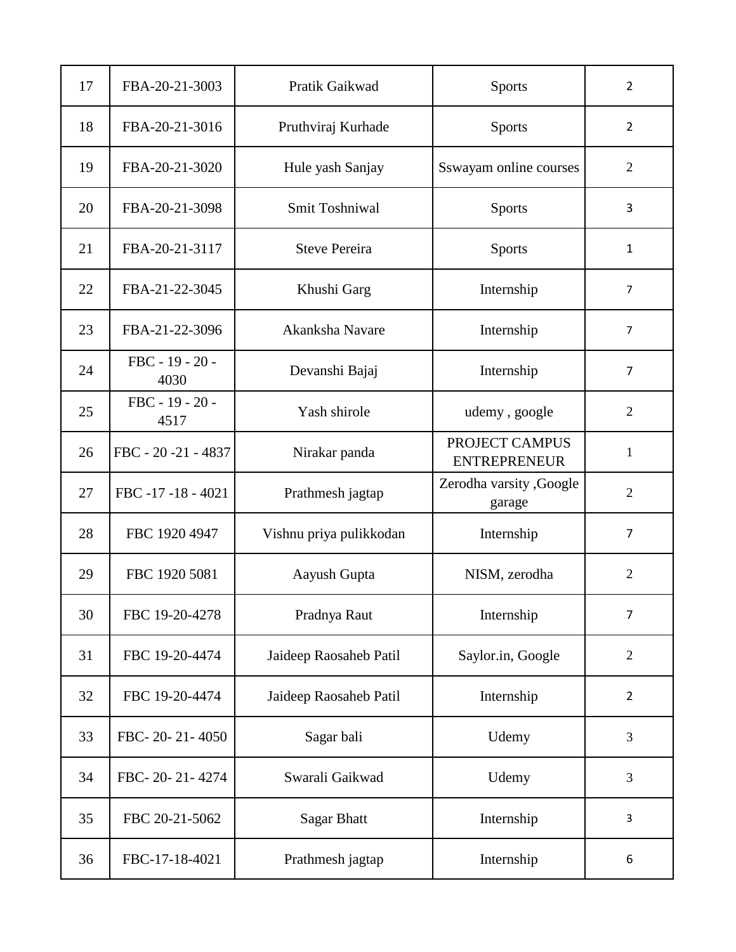| 17 | FBA-20-21-3003            | Pratik Gaikwad          | <b>Sports</b>                         | $\overline{2}$ |
|----|---------------------------|-------------------------|---------------------------------------|----------------|
| 18 | FBA-20-21-3016            | Pruthviraj Kurhade      | <b>Sports</b>                         | $\overline{2}$ |
| 19 | FBA-20-21-3020            | Hule yash Sanjay        | Sswayam online courses                | $\overline{2}$ |
| 20 | FBA-20-21-3098            | Smit Toshniwal          | <b>Sports</b>                         | 3              |
| 21 | FBA-20-21-3117            | <b>Steve Pereira</b>    | <b>Sports</b>                         | $\mathbf{1}$   |
| 22 | FBA-21-22-3045            | Khushi Garg             | Internship                            | $\overline{7}$ |
| 23 | FBA-21-22-3096            | Akanksha Navare         | Internship                            | $\overline{7}$ |
| 24 | $FBC - 19 - 20 -$<br>4030 | Devanshi Bajaj          | Internship                            | $\overline{7}$ |
| 25 | FBC - 19 - 20 -<br>4517   | Yash shirole            | udemy, google                         | $\overline{2}$ |
| 26 | FBC - 20 -21 - 4837       | Nirakar panda           | PROJECT CAMPUS<br><b>ENTREPRENEUR</b> | $\mathbf{1}$   |
| 27 | FBC -17 -18 - 4021        | Prathmesh jagtap        | Zerodha varsity , Google<br>garage    | $\overline{2}$ |
| 28 | FBC 1920 4947             | Vishnu priya pulikkodan | Internship                            | $\overline{7}$ |
| 29 | FBC 1920 5081             | Aayush Gupta            | NISM, zerodha                         | $\overline{2}$ |
| 30 | FBC 19-20-4278            | Pradnya Raut            | Internship                            | $\overline{7}$ |
| 31 | FBC 19-20-4474            | Jaideep Raosaheb Patil  | Saylor.in, Google                     | $\overline{2}$ |
| 32 | FBC 19-20-4474            | Jaideep Raosaheb Patil  | Internship                            | $\overline{2}$ |
| 33 | FBC-20-21-4050            | Sagar bali              | Udemy                                 | 3              |
| 34 | FBC-20-21-4274            | Swarali Gaikwad         | Udemy                                 | 3              |
| 35 | FBC 20-21-5062            | <b>Sagar Bhatt</b>      | Internship                            | 3              |
| 36 | FBC-17-18-4021            | Prathmesh jagtap        | Internship                            | 6              |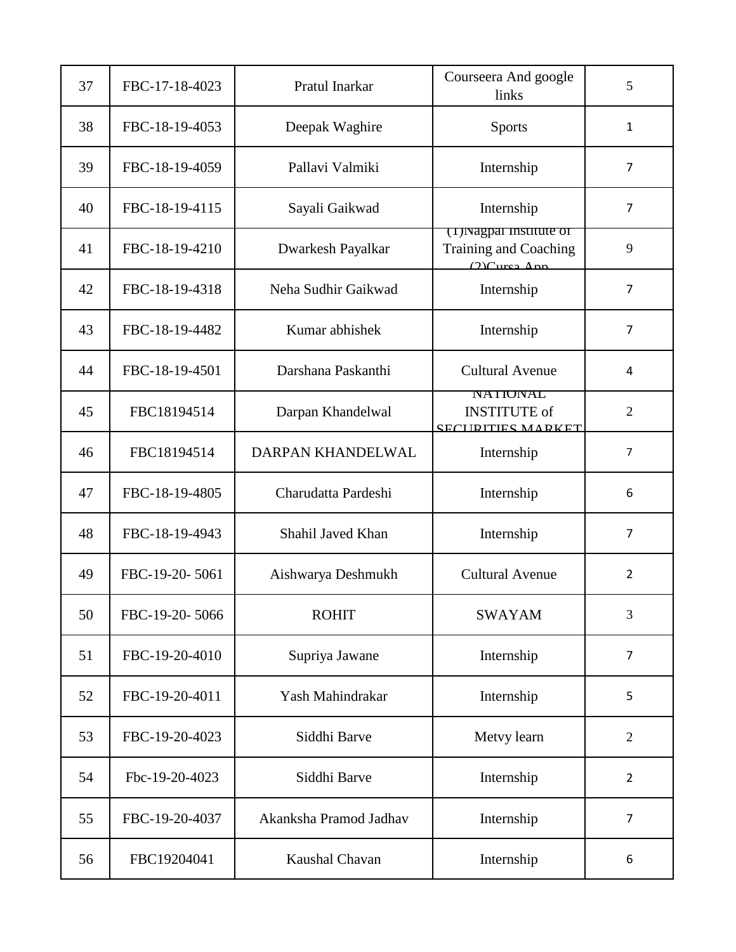| 37 | FBC-17-18-4023 | Pratul Inarkar         | Courseera And google<br>links                                       | 5              |
|----|----------------|------------------------|---------------------------------------------------------------------|----------------|
| 38 | FBC-18-19-4053 | Deepak Waghire         | <b>Sports</b>                                                       | 1              |
| 39 | FBC-18-19-4059 | Pallavi Valmiki        | Internship                                                          | $\overline{7}$ |
| 40 | FBC-18-19-4115 | Sayali Gaikwad         | Internship                                                          | $\overline{7}$ |
| 41 | FBC-18-19-4210 | Dwarkesh Payalkar      | (1) Nagpar institute of<br>Training and Coaching<br>$(2)$ Cursa Ann | 9              |
| 42 | FBC-18-19-4318 | Neha Sudhir Gaikwad    | Internship                                                          | $\overline{7}$ |
| 43 | FBC-18-19-4482 | Kumar abhishek         | Internship                                                          | $\overline{7}$ |
| 44 | FBC-18-19-4501 | Darshana Paskanthi     | <b>Cultural Avenue</b>                                              | 4              |
| 45 | FBC18194514    | Darpan Khandelwal      | <b>NATIONAL</b><br><b>INSTITUTE</b> of<br><b>SECURITIES MARKET</b>  | $\mathfrak{2}$ |
| 46 | FBC18194514    | DARPAN KHANDELWAL      | Internship                                                          | $\overline{7}$ |
| 47 | FBC-18-19-4805 | Charudatta Pardeshi    | Internship                                                          | 6              |
| 48 | FBC-18-19-4943 | Shahil Javed Khan      | Internship                                                          | $\overline{7}$ |
| 49 | FBC-19-20-5061 | Aishwarya Deshmukh     | <b>Cultural Avenue</b>                                              | $\overline{2}$ |
| 50 | FBC-19-20-5066 | <b>ROHIT</b>           | <b>SWAYAM</b>                                                       | 3              |
| 51 | FBC-19-20-4010 | Supriya Jawane         | Internship                                                          | $\overline{7}$ |
| 52 | FBC-19-20-4011 | Yash Mahindrakar       | Internship                                                          | 5              |
| 53 | FBC-19-20-4023 | Siddhi Barve           | Metvy learn                                                         | $\overline{2}$ |
| 54 | Fbc-19-20-4023 | Siddhi Barve           | Internship                                                          | $\overline{2}$ |
| 55 | FBC-19-20-4037 | Akanksha Pramod Jadhav | Internship                                                          | 7              |
| 56 | FBC19204041    | Kaushal Chavan         | Internship                                                          | 6              |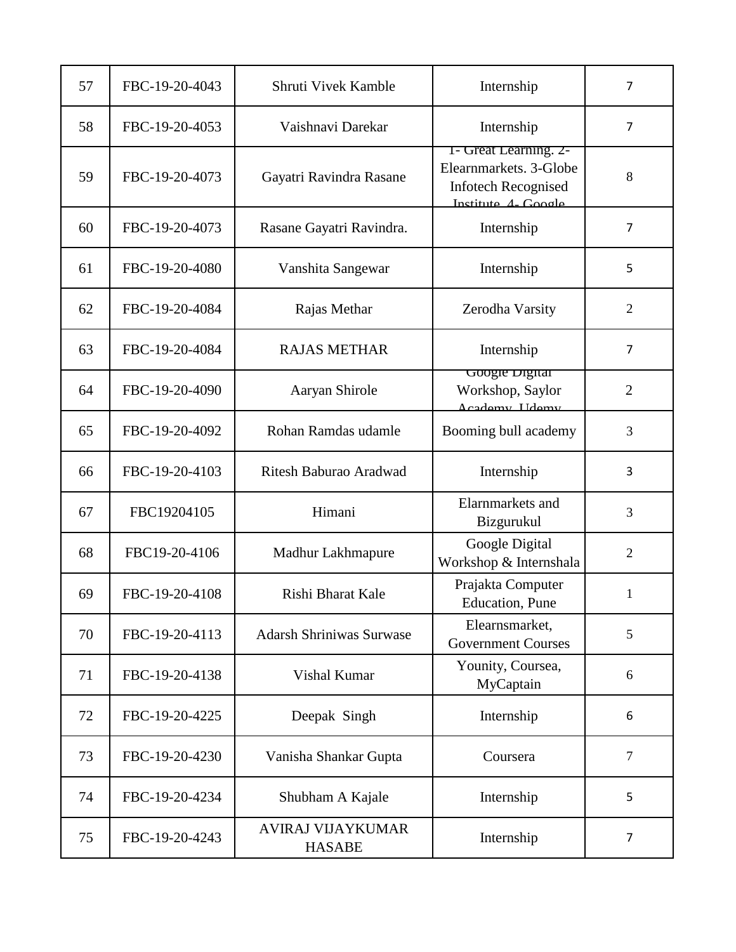| 57 | FBC-19-20-4043 | Shruti Vivek Kamble                       | Internship                                                                                           | $\overline{7}$ |
|----|----------------|-------------------------------------------|------------------------------------------------------------------------------------------------------|----------------|
| 58 | FBC-19-20-4053 | Vaishnavi Darekar                         | Internship                                                                                           | $\overline{7}$ |
| 59 | FBC-19-20-4073 | Gayatri Ravindra Rasane                   | 1- Great Learning. 2-<br>Elearnmarkets. 3-Globe<br><b>Infotech Recognised</b><br>Institute 4- Google | 8              |
| 60 | FBC-19-20-4073 | Rasane Gayatri Ravindra.                  | Internship                                                                                           | $\overline{7}$ |
| 61 | FBC-19-20-4080 | Vanshita Sangewar                         | Internship                                                                                           | 5              |
| 62 | FBC-19-20-4084 | Rajas Methar                              | Zerodha Varsity                                                                                      | $\overline{2}$ |
| 63 | FBC-19-20-4084 | <b>RAJAS METHAR</b>                       | Internship                                                                                           | 7              |
| 64 | FBC-19-20-4090 | Aaryan Shirole                            | Google Digital<br>Workshop, Saylor<br>Academy IIdemy                                                 | $\overline{2}$ |
| 65 | FBC-19-20-4092 | Rohan Ramdas udamle                       | Booming bull academy                                                                                 | 3              |
| 66 | FBC-19-20-4103 | Ritesh Baburao Aradwad                    | Internship                                                                                           | 3              |
| 67 | FBC19204105    | Himani                                    | Elarnmarkets and<br>Bizgurukul                                                                       | 3              |
| 68 | FBC19-20-4106  | Madhur Lakhmapure                         | Google Digital<br>Workshop & Internshala                                                             | $\overline{2}$ |
| 69 | FBC-19-20-4108 | Rishi Bharat Kale                         | Prajakta Computer<br><b>Education</b> , Pune                                                         | 1              |
| 70 | FBC-19-20-4113 | <b>Adarsh Shriniwas Surwase</b>           | Elearnsmarket,<br><b>Government Courses</b>                                                          | 5              |
| 71 | FBC-19-20-4138 | Vishal Kumar                              | Younity, Coursea,<br>MyCaptain                                                                       | 6              |
| 72 | FBC-19-20-4225 | Deepak Singh                              | Internship                                                                                           | 6              |
| 73 | FBC-19-20-4230 | Vanisha Shankar Gupta                     | Coursera                                                                                             | $\overline{7}$ |
| 74 | FBC-19-20-4234 | Shubham A Kajale                          | Internship                                                                                           | 5              |
| 75 | FBC-19-20-4243 | <b>AVIRAJ VIJAYKUMAR</b><br><b>HASABE</b> | Internship                                                                                           | $\overline{7}$ |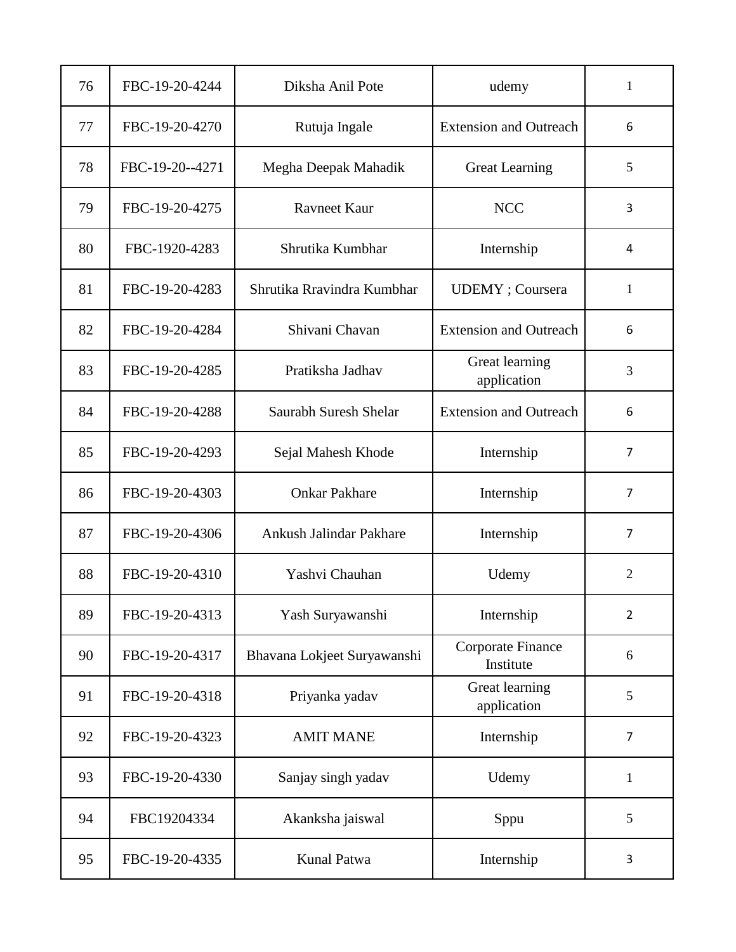| 76 | FBC-19-20-4244  | Diksha Anil Pote            | udemy                          | 1              |
|----|-----------------|-----------------------------|--------------------------------|----------------|
| 77 | FBC-19-20-4270  | Rutuja Ingale               | <b>Extension and Outreach</b>  | 6              |
| 78 | FBC-19-20--4271 | Megha Deepak Mahadik        | <b>Great Learning</b>          | 5              |
| 79 | FBC-19-20-4275  | <b>Ravneet Kaur</b>         | <b>NCC</b>                     | 3              |
| 80 | FBC-1920-4283   | Shrutika Kumbhar            | Internship                     | 4              |
| 81 | FBC-19-20-4283  | Shrutika Rravindra Kumbhar  | <b>UDEMY</b> ; Coursera        | 1              |
| 82 | FBC-19-20-4284  | Shivani Chavan              | <b>Extension and Outreach</b>  | 6              |
| 83 | FBC-19-20-4285  | Pratiksha Jadhav            | Great learning<br>application  | 3              |
| 84 | FBC-19-20-4288  | Saurabh Suresh Shelar       | <b>Extension and Outreach</b>  | 6              |
| 85 | FBC-19-20-4293  | Sejal Mahesh Khode          | Internship                     | $\overline{7}$ |
| 86 | FBC-19-20-4303  | <b>Onkar Pakhare</b>        | Internship                     | 7              |
| 87 | FBC-19-20-4306  | Ankush Jalindar Pakhare     | Internship                     | $\overline{7}$ |
| 88 | FBC-19-20-4310  | Yashvi Chauhan              | Udemy                          | $\overline{2}$ |
| 89 | FBC-19-20-4313  | Yash Suryawanshi            | Internship                     | $\overline{2}$ |
| 90 | FBC-19-20-4317  | Bhavana Lokjeet Suryawanshi | Corporate Finance<br>Institute | 6              |
| 91 | FBC-19-20-4318  | Priyanka yadav              | Great learning<br>application  | 5              |
| 92 | FBC-19-20-4323  | <b>AMIT MANE</b>            | Internship                     | $\overline{7}$ |
| 93 | FBC-19-20-4330  | Sanjay singh yadav          | Udemy                          | $\mathbf{1}$   |
| 94 | FBC19204334     | Akanksha jaiswal            | Sppu                           | 5              |
| 95 | FBC-19-20-4335  | Kunal Patwa                 | Internship                     | 3              |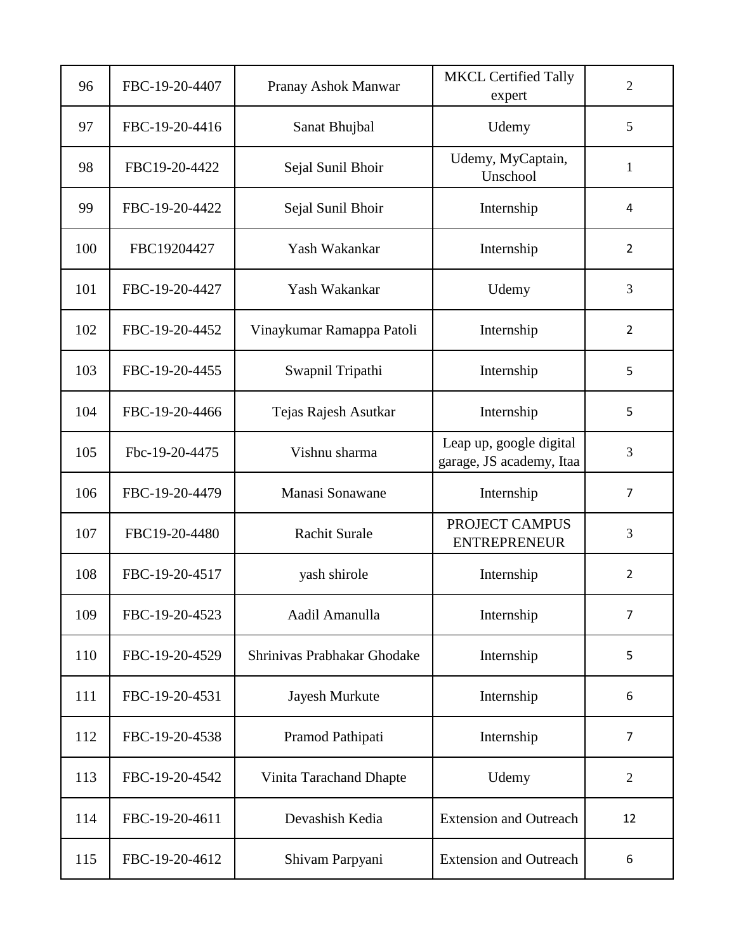| 96  | FBC-19-20-4407 | Pranay Ashok Manwar         | <b>MKCL Certified Tally</b><br>expert               | $\overline{2}$ |
|-----|----------------|-----------------------------|-----------------------------------------------------|----------------|
| 97  | FBC-19-20-4416 | Sanat Bhujbal               | Udemy                                               | 5              |
| 98  | FBC19-20-4422  | Sejal Sunil Bhoir           | Udemy, MyCaptain,<br>Unschool                       | $\mathbf{1}$   |
| 99  | FBC-19-20-4422 | Sejal Sunil Bhoir           | Internship                                          | 4              |
| 100 | FBC19204427    | Yash Wakankar               | Internship                                          | $\overline{2}$ |
| 101 | FBC-19-20-4427 | Yash Wakankar               | Udemy                                               | 3              |
| 102 | FBC-19-20-4452 | Vinaykumar Ramappa Patoli   | Internship                                          | $\overline{2}$ |
| 103 | FBC-19-20-4455 | Swapnil Tripathi            | Internship                                          | 5              |
| 104 | FBC-19-20-4466 | Tejas Rajesh Asutkar        | Internship                                          | 5              |
| 105 | Fbc-19-20-4475 | Vishnu sharma               | Leap up, google digital<br>garage, JS academy, Itaa | 3              |
| 106 | FBC-19-20-4479 | Manasi Sonawane             | Internship                                          | $\overline{7}$ |
| 107 | FBC19-20-4480  | Rachit Surale               | PROJECT CAMPUS<br><b>ENTREPRENEUR</b>               | 3              |
| 108 | FBC-19-20-4517 | yash shirole                | Internship                                          | $\overline{2}$ |
| 109 | FBC-19-20-4523 | Aadil Amanulla              | Internship                                          | $\overline{7}$ |
| 110 | FBC-19-20-4529 | Shrinivas Prabhakar Ghodake | Internship                                          | 5              |
| 111 | FBC-19-20-4531 | Jayesh Murkute              | Internship                                          | 6              |
| 112 | FBC-19-20-4538 | Pramod Pathipati            | Internship                                          | 7              |
| 113 | FBC-19-20-4542 | Vinita Tarachand Dhapte     | Udemy                                               | 2              |
| 114 | FBC-19-20-4611 | Devashish Kedia             | <b>Extension and Outreach</b>                       | 12             |
| 115 | FBC-19-20-4612 | Shivam Parpyani             | <b>Extension and Outreach</b>                       | 6              |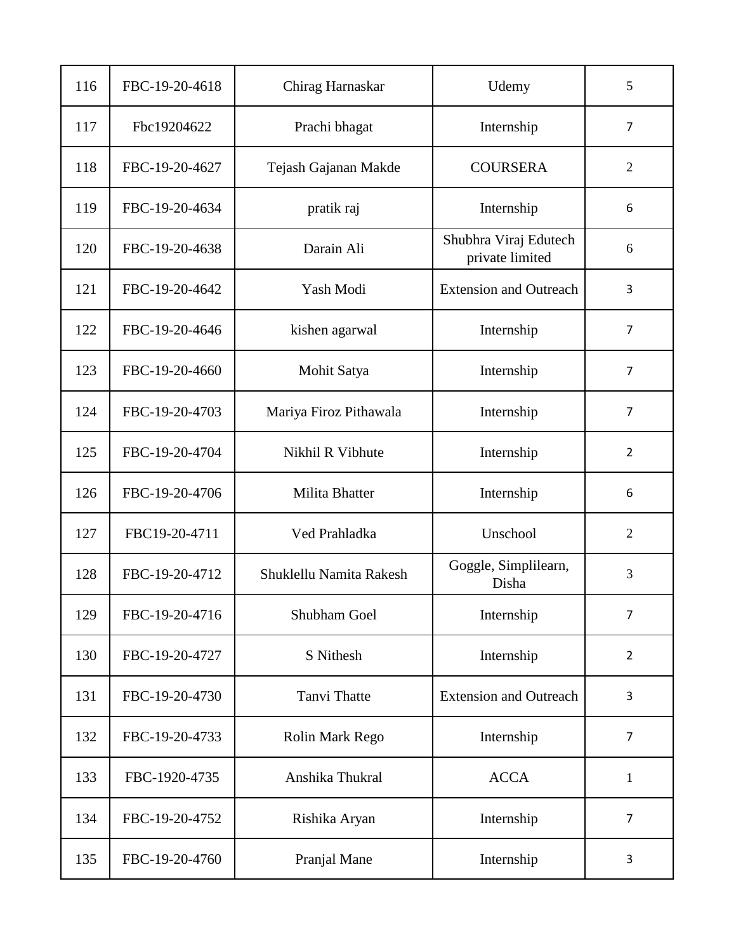| 116 | FBC-19-20-4618 | Chirag Harnaskar        | Udemy                                    | 5              |
|-----|----------------|-------------------------|------------------------------------------|----------------|
| 117 | Fbc19204622    | Prachi bhagat           | Internship                               | $\overline{7}$ |
| 118 | FBC-19-20-4627 | Tejash Gajanan Makde    | <b>COURSERA</b>                          | $\overline{2}$ |
| 119 | FBC-19-20-4634 | pratik raj              | Internship                               | 6              |
| 120 | FBC-19-20-4638 | Darain Ali              | Shubhra Viraj Edutech<br>private limited | 6              |
| 121 | FBC-19-20-4642 | Yash Modi               | <b>Extension and Outreach</b>            | 3              |
| 122 | FBC-19-20-4646 | kishen agarwal          | Internship                               | $\overline{7}$ |
| 123 | FBC-19-20-4660 | Mohit Satya             | Internship                               | $\overline{7}$ |
| 124 | FBC-19-20-4703 | Mariya Firoz Pithawala  | Internship                               | $\overline{7}$ |
| 125 | FBC-19-20-4704 | Nikhil R Vibhute        | Internship                               | $\overline{2}$ |
| 126 | FBC-19-20-4706 | Milita Bhatter          | Internship                               | 6              |
| 127 | FBC19-20-4711  | Ved Prahladka           | Unschool                                 | $\overline{2}$ |
| 128 | FBC-19-20-4712 | Shuklellu Namita Rakesh | Goggle, Simplilearn,<br>Disha            | 3              |
| 129 | FBC-19-20-4716 | Shubham Goel            | Internship                               | $\overline{7}$ |
| 130 | FBC-19-20-4727 | S Nithesh               | Internship                               | $\overline{2}$ |
| 131 | FBC-19-20-4730 | Tanvi Thatte            | <b>Extension and Outreach</b>            | 3              |
| 132 | FBC-19-20-4733 | Rolin Mark Rego         | Internship                               | $\overline{7}$ |
| 133 | FBC-1920-4735  | Anshika Thukral         | <b>ACCA</b>                              | $\mathbf{1}$   |
| 134 | FBC-19-20-4752 | Rishika Aryan           | Internship                               | 7              |
| 135 | FBC-19-20-4760 | Pranjal Mane            | Internship                               | 3              |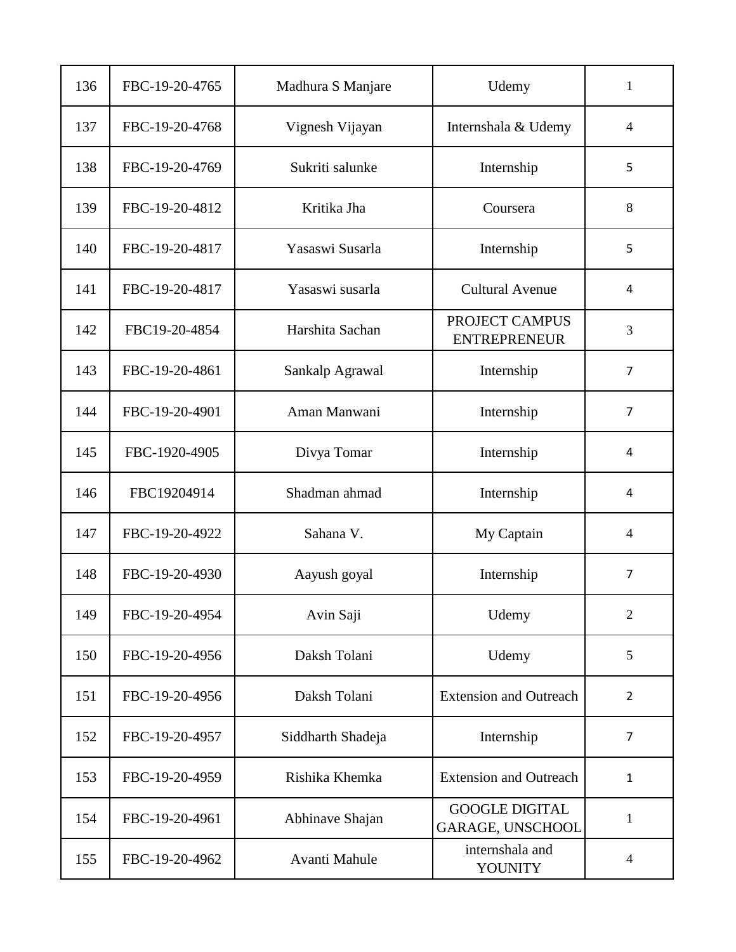| 136 | FBC-19-20-4765 | Madhura S Manjare | Udemy                                            | $\mathbf{1}$            |
|-----|----------------|-------------------|--------------------------------------------------|-------------------------|
| 137 | FBC-19-20-4768 | Vignesh Vijayan   | Internshala & Udemy                              | $\overline{4}$          |
| 138 | FBC-19-20-4769 | Sukriti salunke   | Internship                                       | 5                       |
| 139 | FBC-19-20-4812 | Kritika Jha       | Coursera                                         | 8                       |
| 140 | FBC-19-20-4817 | Yasaswi Susarla   | Internship                                       | 5                       |
| 141 | FBC-19-20-4817 | Yasaswi susarla   | <b>Cultural Avenue</b>                           | 4                       |
| 142 | FBC19-20-4854  | Harshita Sachan   | PROJECT CAMPUS<br><b>ENTREPRENEUR</b>            | 3                       |
| 143 | FBC-19-20-4861 | Sankalp Agrawal   | Internship                                       | $\overline{7}$          |
| 144 | FBC-19-20-4901 | Aman Manwani      | Internship                                       | $\overline{7}$          |
| 145 | FBC-1920-4905  | Divya Tomar       | Internship                                       | 4                       |
| 146 | FBC19204914    | Shadman ahmad     | Internship                                       | 4                       |
| 147 | FBC-19-20-4922 | Sahana V.         | My Captain                                       | $\overline{4}$          |
| 148 | FBC-19-20-4930 | Aayush goyal      | Internship                                       | $\overline{7}$          |
| 149 | FBC-19-20-4954 | Avin Saji         | Udemy                                            | $\overline{2}$          |
| 150 | FBC-19-20-4956 | Daksh Tolani      | Udemy                                            | 5                       |
| 151 | FBC-19-20-4956 | Daksh Tolani      | <b>Extension and Outreach</b>                    | $\overline{2}$          |
| 152 | FBC-19-20-4957 | Siddharth Shadeja | Internship                                       | $\overline{7}$          |
| 153 | FBC-19-20-4959 | Rishika Khemka    | <b>Extension and Outreach</b>                    | $\mathbf{1}$            |
| 154 | FBC-19-20-4961 | Abhinave Shajan   | <b>GOOGLE DIGITAL</b><br><b>GARAGE, UNSCHOOL</b> | $\mathbf{1}$            |
| 155 | FBC-19-20-4962 | Avanti Mahule     | internshala and<br><b>YOUNITY</b>                | $\overline{\mathbf{4}}$ |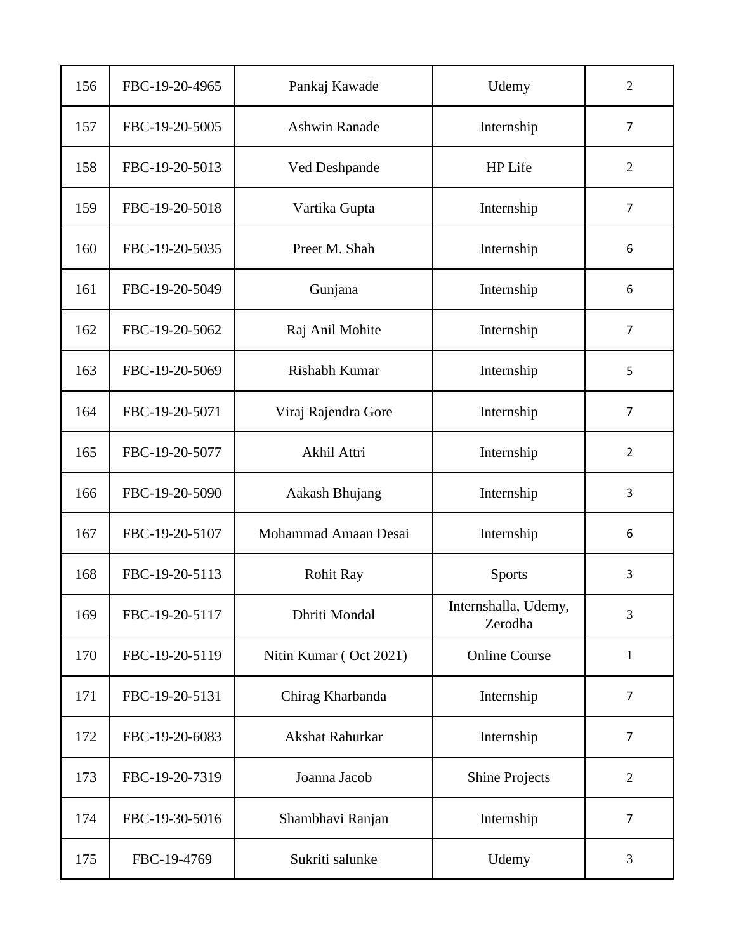| 156 | FBC-19-20-4965 | Pankaj Kawade          | Udemy                           | $\overline{2}$ |
|-----|----------------|------------------------|---------------------------------|----------------|
| 157 | FBC-19-20-5005 | <b>Ashwin Ranade</b>   | Internship                      | $\overline{7}$ |
| 158 | FBC-19-20-5013 | Ved Deshpande          | HP Life                         | $\mathfrak{2}$ |
| 159 | FBC-19-20-5018 | Vartika Gupta          | Internship                      | $\overline{7}$ |
| 160 | FBC-19-20-5035 | Preet M. Shah          | Internship                      | 6              |
| 161 | FBC-19-20-5049 | Gunjana                | Internship                      | 6              |
| 162 | FBC-19-20-5062 | Raj Anil Mohite        | Internship                      | $\overline{7}$ |
| 163 | FBC-19-20-5069 | Rishabh Kumar          | Internship                      | 5              |
| 164 | FBC-19-20-5071 | Viraj Rajendra Gore    | Internship                      | $\overline{7}$ |
| 165 | FBC-19-20-5077 | Akhil Attri            | Internship                      | $\overline{2}$ |
| 166 | FBC-19-20-5090 | Aakash Bhujang         | Internship                      | 3              |
| 167 | FBC-19-20-5107 | Mohammad Amaan Desai   | Internship                      | 6              |
| 168 | FBC-19-20-5113 | <b>Rohit Ray</b>       | <b>Sports</b>                   | 3              |
| 169 | FBC-19-20-5117 | Dhriti Mondal          | Internshalla, Udemy,<br>Zerodha | $\overline{3}$ |
| 170 | FBC-19-20-5119 | Nitin Kumar (Oct 2021) | <b>Online Course</b>            | $\mathbf{1}$   |
| 171 | FBC-19-20-5131 | Chirag Kharbanda       | Internship                      | $\overline{7}$ |
| 172 | FBC-19-20-6083 | Akshat Rahurkar        | Internship                      | $\overline{7}$ |
| 173 | FBC-19-20-7319 | Joanna Jacob           | <b>Shine Projects</b>           | $\overline{2}$ |
| 174 | FBC-19-30-5016 | Shambhavi Ranjan       | Internship                      | $\overline{7}$ |
| 175 | FBC-19-4769    | Sukriti salunke        | Udemy                           | 3              |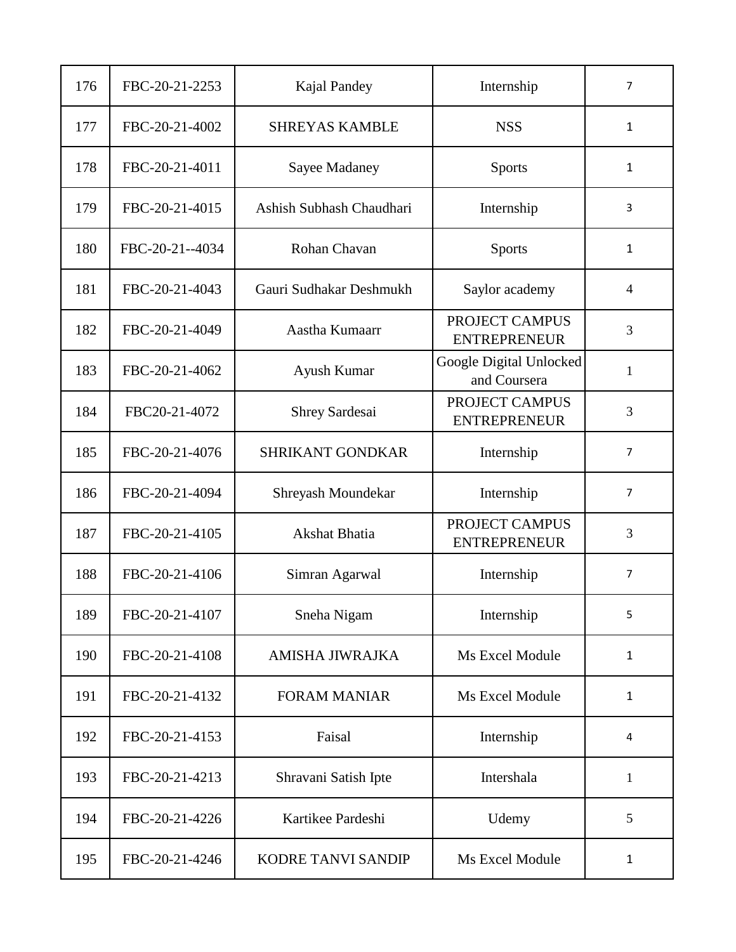| 176 | FBC-20-21-2253  | Kajal Pandey             | Internship                              | $\overline{7}$ |
|-----|-----------------|--------------------------|-----------------------------------------|----------------|
| 177 | FBC-20-21-4002  | <b>SHREYAS KAMBLE</b>    | <b>NSS</b>                              | $\mathbf{1}$   |
| 178 | FBC-20-21-4011  | Sayee Madaney            | <b>Sports</b>                           | $\mathbf{1}$   |
| 179 | FBC-20-21-4015  | Ashish Subhash Chaudhari | Internship                              | 3              |
| 180 | FBC-20-21--4034 | Rohan Chavan             | <b>Sports</b>                           | 1              |
| 181 | FBC-20-21-4043  | Gauri Sudhakar Deshmukh  | Saylor academy                          | $\overline{4}$ |
| 182 | FBC-20-21-4049  | Aastha Kumaarr           | PROJECT CAMPUS<br><b>ENTREPRENEUR</b>   | 3              |
| 183 | FBC-20-21-4062  | Ayush Kumar              | Google Digital Unlocked<br>and Coursera | 1              |
| 184 | FBC20-21-4072   | <b>Shrey Sardesai</b>    | PROJECT CAMPUS<br><b>ENTREPRENEUR</b>   | 3              |
| 185 | FBC-20-21-4076  | <b>SHRIKANT GONDKAR</b>  | Internship                              | 7              |
| 186 | FBC-20-21-4094  | Shreyash Moundekar       | Internship                              | 7              |
| 187 | FBC-20-21-4105  | Akshat Bhatia            | PROJECT CAMPUS<br><b>ENTREPRENEUR</b>   | 3              |
| 188 | FBC-20-21-4106  | Simran Agarwal           | Internship                              | $\overline{7}$ |
| 189 | FBC-20-21-4107  | Sneha Nigam              | Internship                              | 5              |
| 190 | FBC-20-21-4108  | <b>AMISHA JIWRAJKA</b>   | Ms Excel Module                         | $\mathbf{1}$   |
| 191 | FBC-20-21-4132  | <b>FORAM MANIAR</b>      | Ms Excel Module                         | $\mathbf{1}$   |
| 192 | FBC-20-21-4153  | Faisal                   | Internship                              | 4              |
| 193 | FBC-20-21-4213  | Shravani Satish Ipte     | Intershala                              | $\mathbf{1}$   |
| 194 | FBC-20-21-4226  | Kartikee Pardeshi        | Udemy                                   | 5              |
| 195 | FBC-20-21-4246  | KODRE TANVI SANDIP       | Ms Excel Module                         | $\mathbf{1}$   |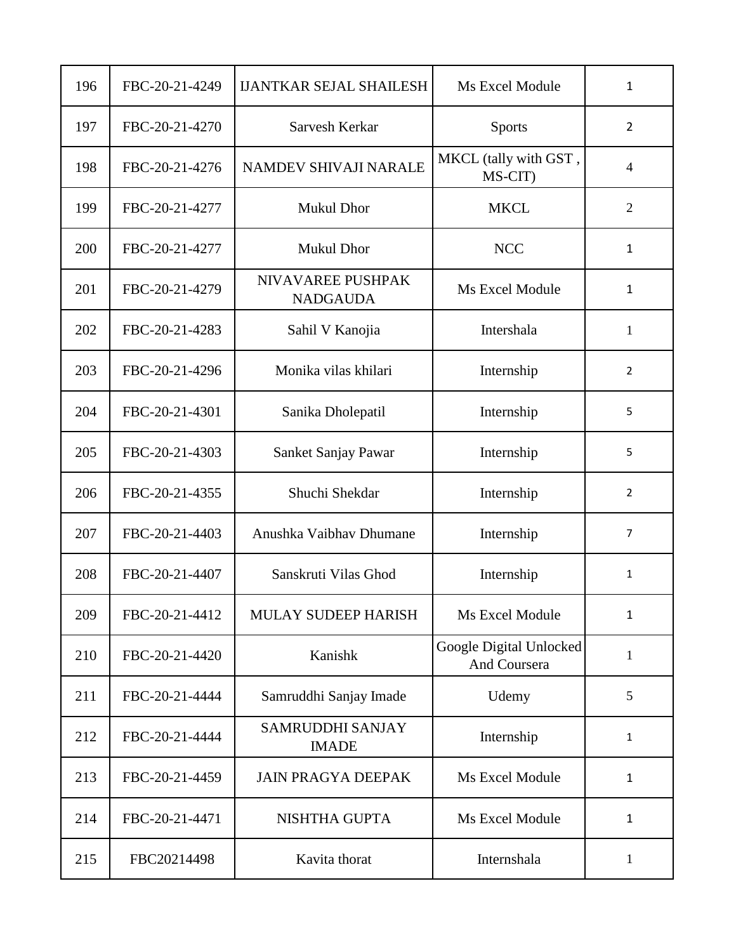| 196 | FBC-20-21-4249 | <b>IJANTKAR SEJAL SHAILESH</b>          | Ms Excel Module                         | $\mathbf{1}$   |
|-----|----------------|-----------------------------------------|-----------------------------------------|----------------|
| 197 | FBC-20-21-4270 | Sarvesh Kerkar                          | <b>Sports</b>                           | $\overline{2}$ |
| 198 | FBC-20-21-4276 | NAMDEV SHIVAJI NARALE                   | MKCL (tally with GST,<br>MS-CIT)        | $\overline{4}$ |
| 199 | FBC-20-21-4277 | <b>Mukul Dhor</b>                       | <b>MKCL</b>                             | $\overline{2}$ |
| 200 | FBC-20-21-4277 | Mukul Dhor                              | <b>NCC</b>                              | 1              |
| 201 | FBC-20-21-4279 | NIVAVAREE PUSHPAK<br><b>NADGAUDA</b>    | Ms Excel Module                         | 1              |
| 202 | FBC-20-21-4283 | Sahil V Kanojia                         | Intershala                              | 1              |
| 203 | FBC-20-21-4296 | Monika vilas khilari                    | Internship                              | 2              |
| 204 | FBC-20-21-4301 | Sanika Dholepatil                       | Internship                              | 5              |
| 205 | FBC-20-21-4303 | Sanket Sanjay Pawar                     | Internship                              | 5              |
| 206 | FBC-20-21-4355 | Shuchi Shekdar                          | Internship                              | 2              |
| 207 | FBC-20-21-4403 | Anushka Vaibhay Dhumane                 | Internship                              | $\overline{7}$ |
| 208 | FBC-20-21-4407 | Sanskruti Vilas Ghod                    | Internship                              | 1              |
| 209 | FBC-20-21-4412 | MULAY SUDEEP HARISH                     | Ms Excel Module                         | $\mathbf{1}$   |
| 210 | FBC-20-21-4420 | Kanishk                                 | Google Digital Unlocked<br>And Coursera | $\mathbf{1}$   |
| 211 | FBC-20-21-4444 | Samruddhi Sanjay Imade                  | Udemy                                   | 5              |
| 212 | FBC-20-21-4444 | <b>SAMRUDDHI SANJAY</b><br><b>IMADE</b> | Internship                              | $\mathbf{1}$   |
| 213 | FBC-20-21-4459 | <b>JAIN PRAGYA DEEPAK</b>               | Ms Excel Module                         | $\mathbf{1}$   |
| 214 | FBC-20-21-4471 | NISHTHA GUPTA                           | Ms Excel Module                         | 1              |
| 215 | FBC20214498    | Kavita thorat                           | Internshala                             | $\mathbf{1}$   |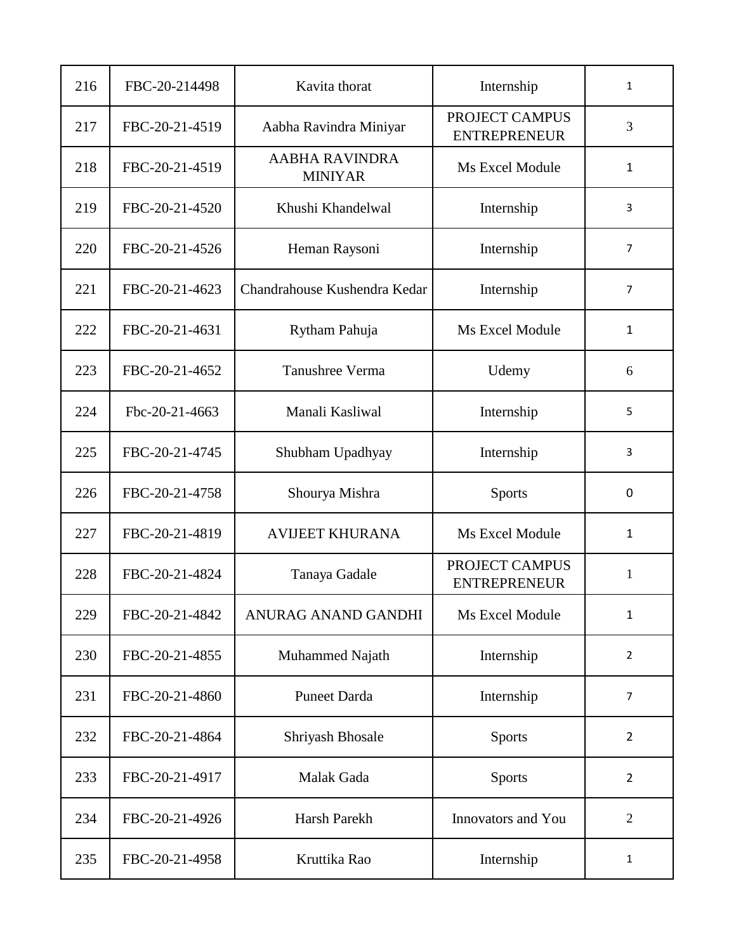| 216 | FBC-20-214498  | Kavita thorat                           | Internship                            | $\mathbf{1}$   |
|-----|----------------|-----------------------------------------|---------------------------------------|----------------|
| 217 | FBC-20-21-4519 | Aabha Ravindra Miniyar                  | PROJECT CAMPUS<br><b>ENTREPRENEUR</b> | 3              |
| 218 | FBC-20-21-4519 | <b>AABHA RAVINDRA</b><br><b>MINIYAR</b> | Ms Excel Module                       | $\mathbf{1}$   |
| 219 | FBC-20-21-4520 | Khushi Khandelwal                       | Internship                            | 3              |
| 220 | FBC-20-21-4526 | Heman Raysoni                           | Internship                            | 7              |
| 221 | FBC-20-21-4623 | Chandrahouse Kushendra Kedar            | Internship                            | $\overline{7}$ |
| 222 | FBC-20-21-4631 | Rytham Pahuja                           | Ms Excel Module                       | $\mathbf{1}$   |
| 223 | FBC-20-21-4652 | Tanushree Verma                         | Udemy                                 | 6              |
| 224 | Fbc-20-21-4663 | Manali Kasliwal                         | Internship                            | 5              |
| 225 | FBC-20-21-4745 | Shubham Upadhyay                        | Internship                            | 3              |
| 226 | FBC-20-21-4758 | Shourya Mishra                          | <b>Sports</b>                         | 0              |
| 227 | FBC-20-21-4819 | <b>AVIJEET KHURANA</b>                  | Ms Excel Module                       | 1              |
| 228 | FBC-20-21-4824 | Tanaya Gadale                           | PROJECT CAMPUS<br><b>ENTREPRENEUR</b> | 1              |
| 229 | FBC-20-21-4842 | ANURAG ANAND GANDHI                     | Ms Excel Module                       | $\mathbf{1}$   |
| 230 | FBC-20-21-4855 | Muhammed Najath                         | Internship                            | $\overline{2}$ |
| 231 | FBC-20-21-4860 | <b>Puneet Darda</b>                     | Internship                            | $\overline{7}$ |
| 232 | FBC-20-21-4864 | Shriyash Bhosale                        | <b>Sports</b>                         | $\overline{2}$ |
| 233 | FBC-20-21-4917 | Malak Gada                              | <b>Sports</b>                         | $\overline{2}$ |
| 234 | FBC-20-21-4926 | Harsh Parekh                            | Innovators and You                    | $\overline{2}$ |
| 235 | FBC-20-21-4958 | Kruttika Rao                            | Internship                            | 1              |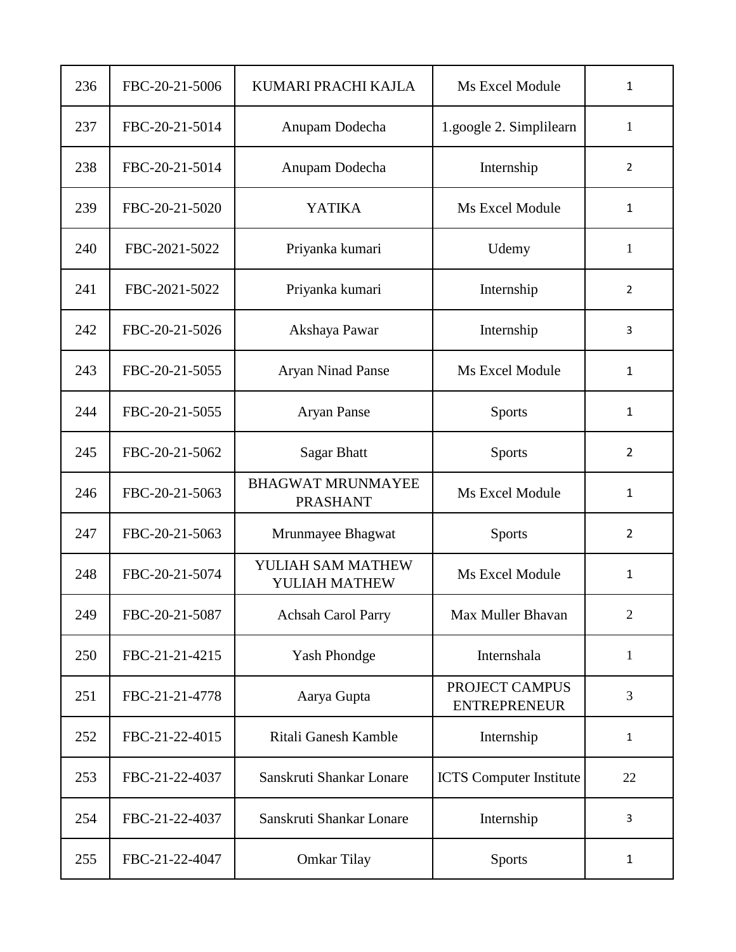| 236 | FBC-20-21-5006 | KUMARI PRACHI KAJLA                         | Ms Excel Module                       | 1              |
|-----|----------------|---------------------------------------------|---------------------------------------|----------------|
| 237 | FBC-20-21-5014 | Anupam Dodecha                              | 1.google 2. Simplilearn               | 1              |
| 238 | FBC-20-21-5014 | Anupam Dodecha                              | Internship                            | 2              |
| 239 | FBC-20-21-5020 | <b>YATIKA</b>                               | Ms Excel Module                       | 1              |
| 240 | FBC-2021-5022  | Priyanka kumari                             | Udemy                                 | 1              |
| 241 | FBC-2021-5022  | Priyanka kumari                             | Internship                            | $\overline{2}$ |
| 242 | FBC-20-21-5026 | Akshaya Pawar                               | Internship                            | 3              |
| 243 | FBC-20-21-5055 | <b>Aryan Ninad Panse</b>                    | Ms Excel Module                       | 1              |
| 244 | FBC-20-21-5055 | <b>Aryan Panse</b>                          | Sports                                | $\mathbf{1}$   |
| 245 | FBC-20-21-5062 | <b>Sagar Bhatt</b>                          | Sports                                | 2              |
| 246 | FBC-20-21-5063 | <b>BHAGWAT MRUNMAYEE</b><br><b>PRASHANT</b> | Ms Excel Module                       | 1              |
| 247 | FBC-20-21-5063 | Mrunmayee Bhagwat                           | Sports                                | $\overline{2}$ |
| 248 | FBC-20-21-5074 | YULIAH SAM MATHEW<br>YULIAH MATHEW          | Ms Excel Module                       | 1              |
| 249 | FBC-20-21-5087 | <b>Achsah Carol Parry</b>                   | Max Muller Bhavan                     | $\overline{2}$ |
| 250 | FBC-21-21-4215 | <b>Yash Phondge</b>                         | Internshala                           | 1              |
| 251 | FBC-21-21-4778 | Aarya Gupta                                 | PROJECT CAMPUS<br><b>ENTREPRENEUR</b> | 3              |
| 252 | FBC-21-22-4015 | Ritali Ganesh Kamble                        | Internship                            | 1              |
| 253 | FBC-21-22-4037 | Sanskruti Shankar Lonare                    | <b>ICTS</b> Computer Institute        | 22             |
| 254 | FBC-21-22-4037 | Sanskruti Shankar Lonare                    | Internship                            | 3              |
| 255 | FBC-21-22-4047 | <b>Omkar Tilay</b>                          | <b>Sports</b>                         | $\mathbf{1}$   |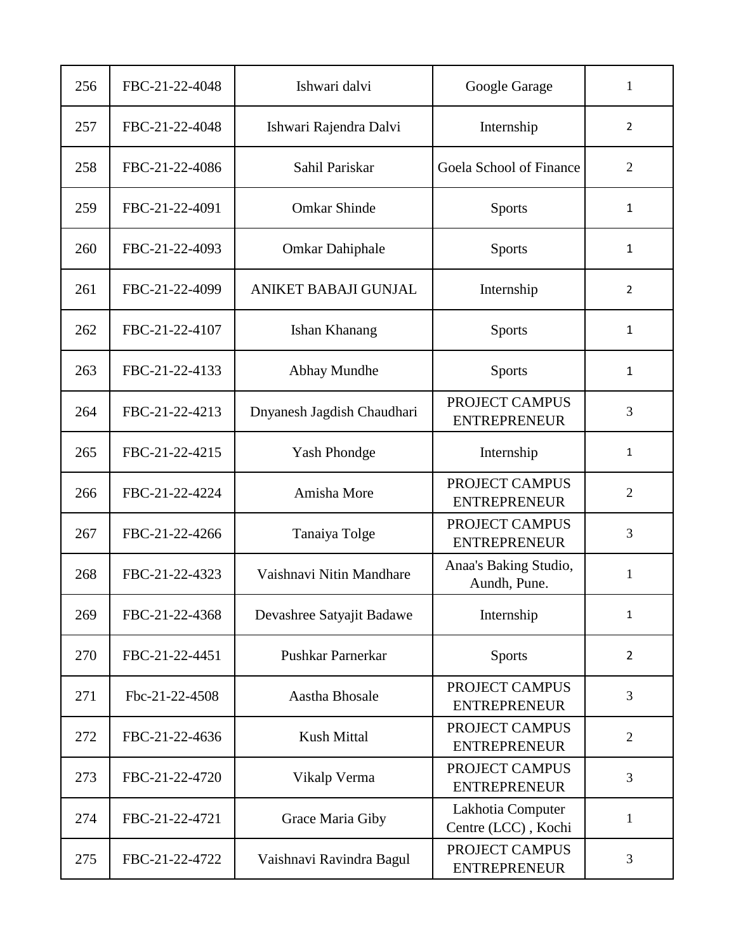| 256 | FBC-21-22-4048 | Ishwari dalvi               | Google Garage                            | 1              |
|-----|----------------|-----------------------------|------------------------------------------|----------------|
| 257 | FBC-21-22-4048 | Ishwari Rajendra Dalvi      | Internship                               | 2              |
| 258 | FBC-21-22-4086 | Sahil Pariskar              | Goela School of Finance                  | $\overline{2}$ |
| 259 | FBC-21-22-4091 | <b>Omkar Shinde</b>         | Sports                                   | $\mathbf{1}$   |
| 260 | FBC-21-22-4093 | <b>Omkar Dahiphale</b>      | <b>Sports</b>                            | 1              |
| 261 | FBC-21-22-4099 | <b>ANIKET BABAJI GUNJAL</b> | Internship                               | 2              |
| 262 | FBC-21-22-4107 | Ishan Khanang               | Sports                                   | $\mathbf{1}$   |
| 263 | FBC-21-22-4133 | Abhay Mundhe                | <b>Sports</b>                            | 1              |
| 264 | FBC-21-22-4213 | Dnyanesh Jagdish Chaudhari  | PROJECT CAMPUS<br><b>ENTREPRENEUR</b>    | 3              |
| 265 | FBC-21-22-4215 | <b>Yash Phondge</b>         | Internship                               | 1              |
| 266 | FBC-21-22-4224 | Amisha More                 | PROJECT CAMPUS<br><b>ENTREPRENEUR</b>    | $\overline{2}$ |
| 267 | FBC-21-22-4266 | Tanaiya Tolge               | PROJECT CAMPUS<br><b>ENTREPRENEUR</b>    | 3              |
| 268 | FBC-21-22-4323 | Vaishnavi Nitin Mandhare    | Anaa's Baking Studio,<br>Aundh, Pune.    | $\mathbf{1}$   |
| 269 | FBC-21-22-4368 | Devashree Satyajit Badawe   | Internship                               | $\mathbf{1}$   |
| 270 | FBC-21-22-4451 | Pushkar Parnerkar           | <b>Sports</b>                            | $\overline{2}$ |
| 271 | Fbc-21-22-4508 | Aastha Bhosale              | PROJECT CAMPUS<br><b>ENTREPRENEUR</b>    | 3              |
| 272 | FBC-21-22-4636 | Kush Mittal                 | PROJECT CAMPUS<br><b>ENTREPRENEUR</b>    | $\overline{2}$ |
| 273 | FBC-21-22-4720 | Vikalp Verma                | PROJECT CAMPUS<br><b>ENTREPRENEUR</b>    | 3              |
| 274 | FBC-21-22-4721 | Grace Maria Giby            | Lakhotia Computer<br>Centre (LCC), Kochi | 1              |
| 275 | FBC-21-22-4722 | Vaishnavi Ravindra Bagul    | PROJECT CAMPUS<br><b>ENTREPRENEUR</b>    | 3              |